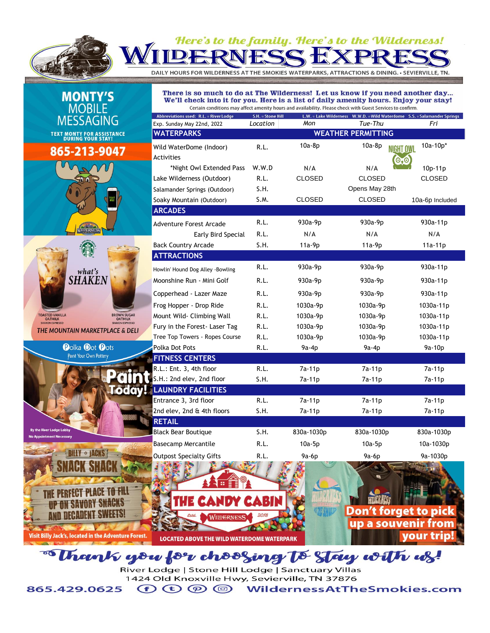

## Here's to the family. Here's to the Wilderness!

DAILY HOURS FOR WILDERNESS AT THE SMOKIES WATERPARKS, ATTRACTIONS & DINING. • SEVIERVILLE, TN.

| <b>MONTY'S</b><br><b>MOBILE</b>                                                                                                      | There is so much to do at The Wilderness! Let us know if you need another day<br>We'll check into it for you. Here is a list of daily amenity hours. Enjoy your stay!<br>Certain conditions may affect amenity hours and availability. Please check with Guest Services to confirm. |                   |                      |                                                                          |                          |  |  |
|--------------------------------------------------------------------------------------------------------------------------------------|-------------------------------------------------------------------------------------------------------------------------------------------------------------------------------------------------------------------------------------------------------------------------------------|-------------------|----------------------|--------------------------------------------------------------------------|--------------------------|--|--|
|                                                                                                                                      | Abbreviations used: R.L. = River Lodge                                                                                                                                                                                                                                              | S.H. = Stone Hill |                      | L.W. = Lake Wilderness W.W.D. = Wild Waterdome S.S. = Salamander Springs |                          |  |  |
| <b>MESSAGING</b>                                                                                                                     | Exp. Sunday May 22nd, 2022                                                                                                                                                                                                                                                          | Location          | Mon                  | Tue-Thu                                                                  | Fri                      |  |  |
| <b>TEXT MONTY FOR ASSISTANCE DURING YOUR STAY!</b>                                                                                   | <b>WATERPARKS</b><br><b>WEATHER PERMITTING</b>                                                                                                                                                                                                                                      |                   |                      |                                                                          |                          |  |  |
| 865-213-9047                                                                                                                         | Wild WaterDome (Indoor)<br>Activities                                                                                                                                                                                                                                               | R.L.              | $10a-8p$             | 10a-8p<br><b>NIGHT OWL</b><br>$\mathbf{O}, \mathbf{O}$                   | $10a-10p*$               |  |  |
|                                                                                                                                      | *Night Owl Extended Pass<br>Lake Wilderness (Outdoor)                                                                                                                                                                                                                               | W.W.D<br>R.L.     | N/A<br><b>CLOSED</b> | N/A<br><b>CLOSED</b>                                                     | 10p-11p<br><b>CLOSED</b> |  |  |
|                                                                                                                                      | Salamander Springs (Outdoor)<br>Soaky Mountain (Outdoor)                                                                                                                                                                                                                            | S.H.<br>S.M.      | <b>CLOSED</b>        | Opens May 28th<br><b>CLOSED</b>                                          | 10a-6p Included          |  |  |
|                                                                                                                                      | <b>ARCADES</b>                                                                                                                                                                                                                                                                      |                   |                      |                                                                          |                          |  |  |
| WITPERNES                                                                                                                            | <b>Adventure Forest Arcade</b>                                                                                                                                                                                                                                                      | R.L.              | 930a-9p              | 930a-9p                                                                  | 930a-11p                 |  |  |
|                                                                                                                                      | Early Bird Special<br><b>Back Country Arcade</b>                                                                                                                                                                                                                                    | R.L.<br>S.H.      | N/A<br>11a-9p        | N/A<br>$11a-9p$                                                          | N/A<br>11a-11p           |  |  |
| what's                                                                                                                               | <b>ATTRACTIONS</b>                                                                                                                                                                                                                                                                  |                   |                      |                                                                          |                          |  |  |
|                                                                                                                                      | Howlin' Hound Dog Alley -Bowling                                                                                                                                                                                                                                                    | R.L.              | 930a-9p              | 930a-9 <sub>p</sub>                                                      | 930a-11p                 |  |  |
| <b>SHAKEN</b>                                                                                                                        | Moonshine Run - Mini Golf                                                                                                                                                                                                                                                           | R.L.              | 930a-9p              | 930a-9p                                                                  | 930a-11p                 |  |  |
|                                                                                                                                      | Copperhead - Lazer Maze                                                                                                                                                                                                                                                             | R.L.              | 930a-9p              | 930a-9p                                                                  | 930a-11p                 |  |  |
|                                                                                                                                      | Frog Hopper - Drop Ride                                                                                                                                                                                                                                                             | R.L.              | 1030a-9p             | 1030a-9p                                                                 | 1030a-11p                |  |  |
| <b>BROWN SUGAR</b><br><b>TOASTED VANILLA</b><br><b>OATMILK</b><br><b>OATMILK</b><br><b>SHAKEN ESPRESSO</b><br><b>SHAKEN ESPRESSO</b> | Mount Wild- Climbing Wall                                                                                                                                                                                                                                                           | R.L.              | 1030a-9p             | 1030a-9p                                                                 | 1030a-11p                |  |  |
| THE MOUNTAIN MARKETPLACE & DELI                                                                                                      | Fury in the Forest- Laser Tag<br>Tree Top Towers - Ropes Course                                                                                                                                                                                                                     | R.L.<br>R.L.      | 1030a-9p<br>1030a-9p | 1030a-9p<br>1030a-9p                                                     | 1030a-11p<br>1030a-11p   |  |  |
| <b>Polka Dot Pots</b>                                                                                                                | Polka Dot Pots                                                                                                                                                                                                                                                                      | R.L.              | 9a-4p                | $9a-4p$                                                                  | 9a-10p                   |  |  |
| Paint Your Own Pottery                                                                                                               | <b>FITNESS CENTERS</b>                                                                                                                                                                                                                                                              |                   |                      |                                                                          |                          |  |  |
|                                                                                                                                      | R.L.: Ent. 3, 4th floor                                                                                                                                                                                                                                                             | R.L.              | 7a-11p               | 7a-11p                                                                   | 7a-11p                   |  |  |
| lodav!                                                                                                                               | S.H.: 2nd elev, 2nd floor                                                                                                                                                                                                                                                           | S.H.              | 7a-11p               | 7a-11p                                                                   | 7a-11p                   |  |  |
|                                                                                                                                      | <b>LAUNDRY FACILITIES</b><br>Entrance 3, 3rd floor                                                                                                                                                                                                                                  | R.L.              | 7a-11p               | 7a-11p                                                                   | 7a-11p                   |  |  |
|                                                                                                                                      | 2nd elev, 2nd & 4th floors                                                                                                                                                                                                                                                          | S.H.              | 7a-11p               | 7a-11p                                                                   | 7a-11p                   |  |  |
|                                                                                                                                      | <b>RETAIL</b>                                                                                                                                                                                                                                                                       |                   |                      |                                                                          |                          |  |  |
| By the River Lodge Lobby<br><b>No Appointment Necessary</b>                                                                          | <b>Black Bear Boutique</b>                                                                                                                                                                                                                                                          | S.H.              | 830a-1030p           | 830a-1030p                                                               | 830a-1030p               |  |  |
|                                                                                                                                      | <b>Basecamp Mercantile</b>                                                                                                                                                                                                                                                          | R.L.              | $10a-5p$             | $10a-5p$                                                                 | 10a-1030p                |  |  |
| <b>BILLY * JACKS</b>                                                                                                                 | <b>Outpost Specialty Gifts</b>                                                                                                                                                                                                                                                      | R.L.              | 9a-6p                | 9a-6p                                                                    | 9a-1030p                 |  |  |
|                                                                                                                                      |                                                                                                                                                                                                                                                                                     |                   |                      |                                                                          |                          |  |  |
|                                                                                                                                      |                                                                                                                                                                                                                                                                                     |                   |                      |                                                                          |                          |  |  |
|                                                                                                                                      | <b>IDY</b>                                                                                                                                                                                                                                                                          | <b>CABIN</b>      |                      |                                                                          |                          |  |  |
|                                                                                                                                      | <b>WILDERNESS</b>                                                                                                                                                                                                                                                                   | 2018              |                      | <b>Don't forget to pick</b>                                              |                          |  |  |
|                                                                                                                                      |                                                                                                                                                                                                                                                                                     |                   |                      | up a souvenir from                                                       |                          |  |  |
| Visit Billy Jack's, located in the Adventure Forest.                                                                                 | LOCATED AROVE THE WILD WATERDOME WATERPARK                                                                                                                                                                                                                                          |                   |                      |                                                                          | <b>vour trip!</b>        |  |  |

"Thank you for choosing to stay with us!

River Lodge | Stone Hill Lodge | Sanctuary Villas 1424 Old Knoxville Hwy, Sevierville, TN 37876

 $\bigoplus \mathfrak{O} \bigoplus \mathfrak{O}$ **WildernessAtTheSmokies.com** 865.429.0625